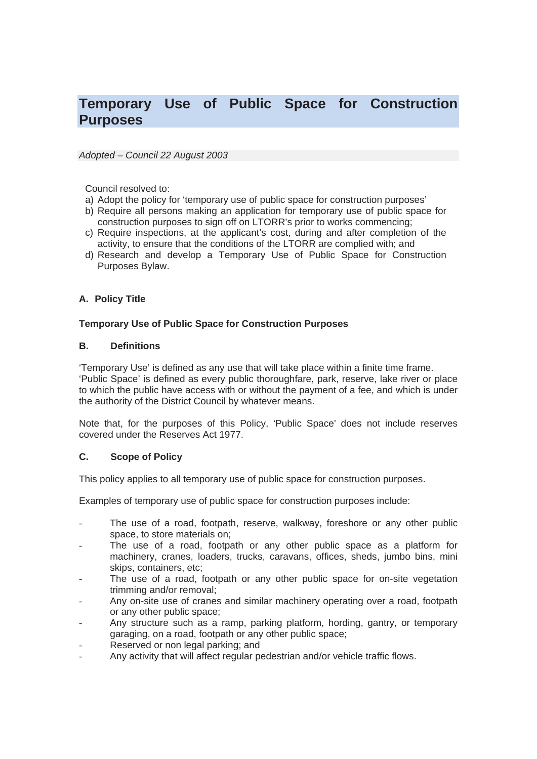# **Temporary Use of Public Space for Construction Purposes**

#### *Adopted – Council 22 August 2003*

Council resolved to:

- a) Adopt the policy for 'temporary use of public space for construction purposes'
- b) Require all persons making an application for temporary use of public space for construction purposes to sign off on LTORR's prior to works commencing;
- c) Require inspections, at the applicant's cost, during and after completion of the activity, to ensure that the conditions of the LTORR are complied with; and
- d) Research and develop a Temporary Use of Public Space for Construction Purposes Bylaw.

# **A. Policy Title**

#### **Temporary Use of Public Space for Construction Purposes**

#### **B. Definitions**

'Temporary Use' is defined as any use that will take place within a finite time frame. 'Public Space' is defined as every public thoroughfare, park, reserve, lake river or place to which the public have access with or without the payment of a fee, and which is under the authority of the District Council by whatever means.

Note that, for the purposes of this Policy, 'Public Space' does not include reserves covered under the Reserves Act 1977.

## **C. Scope of Policy**

This policy applies to all temporary use of public space for construction purposes.

Examples of temporary use of public space for construction purposes include:

- The use of a road, footpath, reserve, walkway, foreshore or any other public space, to store materials on;
- The use of a road, footpath or any other public space as a platform for machinery, cranes, loaders, trucks, caravans, offices, sheds, jumbo bins, mini skips, containers, etc;
- The use of a road, footpath or any other public space for on-site vegetation trimming and/or removal;
- Any on-site use of cranes and similar machinery operating over a road, footpath or any other public space;
- Any structure such as a ramp, parking platform, hording, gantry, or temporary garaging, on a road, footpath or any other public space;
- Reserved or non legal parking; and
- Any activity that will affect regular pedestrian and/or vehicle traffic flows.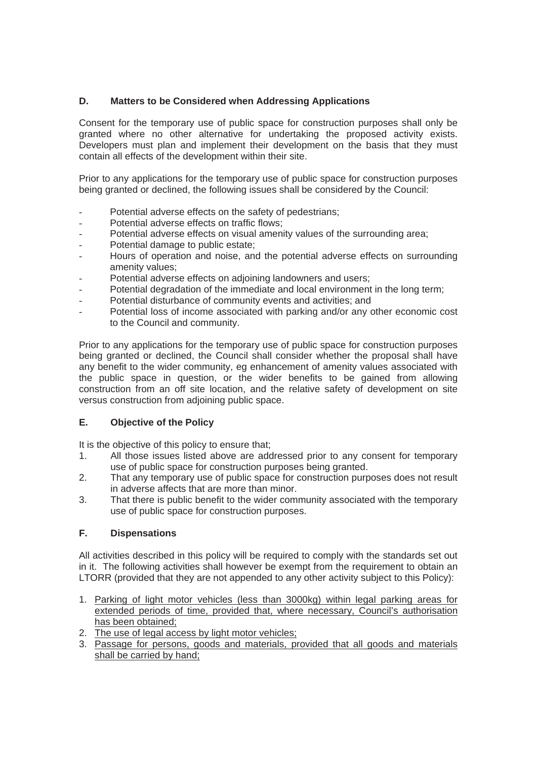# **D. Matters to be Considered when Addressing Applications**

Consent for the temporary use of public space for construction purposes shall only be granted where no other alternative for undertaking the proposed activity exists. Developers must plan and implement their development on the basis that they must contain all effects of the development within their site.

Prior to any applications for the temporary use of public space for construction purposes being granted or declined, the following issues shall be considered by the Council:

- Potential adverse effects on the safety of pedestrians;
- Potential adverse effects on traffic flows;
- Potential adverse effects on visual amenity values of the surrounding area;
- Potential damage to public estate:
- Hours of operation and noise, and the potential adverse effects on surrounding amenity values;
- Potential adverse effects on adjoining landowners and users;
- Potential degradation of the immediate and local environment in the long term;
- Potential disturbance of community events and activities; and
- Potential loss of income associated with parking and/or any other economic cost to the Council and community.

Prior to any applications for the temporary use of public space for construction purposes being granted or declined, the Council shall consider whether the proposal shall have any benefit to the wider community, eg enhancement of amenity values associated with the public space in question, or the wider benefits to be gained from allowing construction from an off site location, and the relative safety of development on site versus construction from adjoining public space.

## **E. Objective of the Policy**

It is the objective of this policy to ensure that;

- 1. All those issues listed above are addressed prior to any consent for temporary use of public space for construction purposes being granted.
- 2. That any temporary use of public space for construction purposes does not result in adverse affects that are more than minor.
- 3. That there is public benefit to the wider community associated with the temporary use of public space for construction purposes.

## **F. Dispensations**

All activities described in this policy will be required to comply with the standards set out in it. The following activities shall however be exempt from the requirement to obtain an LTORR (provided that they are not appended to any other activity subject to this Policy):

- 1. Parking of light motor vehicles (less than 3000kg) within legal parking areas for extended periods of time, provided that, where necessary, Council's authorisation has been obtained;
- 2. The use of legal access by light motor vehicles;
- 3. Passage for persons, goods and materials, provided that all goods and materials shall be carried by hand;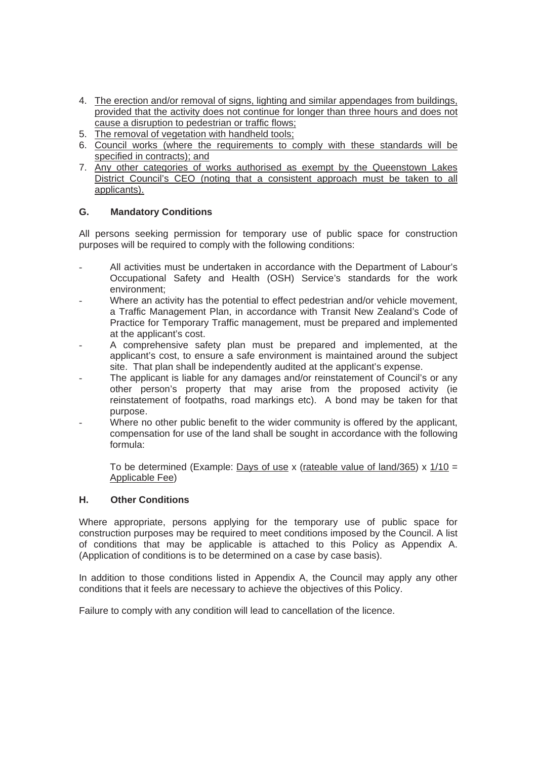- 4. The erection and/or removal of signs, lighting and similar appendages from buildings, provided that the activity does not continue for longer than three hours and does not cause a disruption to pedestrian or traffic flows;
- 5. The removal of vegetation with handheld tools;
- 6. Council works (where the requirements to comply with these standards will be specified in contracts); and
- 7. Any other categories of works authorised as exempt by the Queenstown Lakes District Council's CEO (noting that a consistent approach must be taken to all applicants).

# **G. Mandatory Conditions**

All persons seeking permission for temporary use of public space for construction purposes will be required to comply with the following conditions:

- All activities must be undertaken in accordance with the Department of Labour's Occupational Safety and Health (OSH) Service's standards for the work environment;
- Where an activity has the potential to effect pedestrian and/or vehicle movement, a Traffic Management Plan, in accordance with Transit New Zealand's Code of Practice for Temporary Traffic management, must be prepared and implemented at the applicant's cost.
- A comprehensive safety plan must be prepared and implemented, at the applicant's cost, to ensure a safe environment is maintained around the subject site. That plan shall be independently audited at the applicant's expense.
- The applicant is liable for any damages and/or reinstatement of Council's or any other person's property that may arise from the proposed activity (ie reinstatement of footpaths, road markings etc). A bond may be taken for that purpose.
- Where no other public benefit to the wider community is offered by the applicant. compensation for use of the land shall be sought in accordance with the following formula:

To be determined (Example: Days of use x (rateable value of land/365) x  $1/10 =$ Applicable Fee)

## **H. Other Conditions**

Where appropriate, persons applying for the temporary use of public space for construction purposes may be required to meet conditions imposed by the Council. A list of conditions that may be applicable is attached to this Policy as Appendix A. (Application of conditions is to be determined on a case by case basis).

In addition to those conditions listed in Appendix A, the Council may apply any other conditions that it feels are necessary to achieve the objectives of this Policy.

Failure to comply with any condition will lead to cancellation of the licence.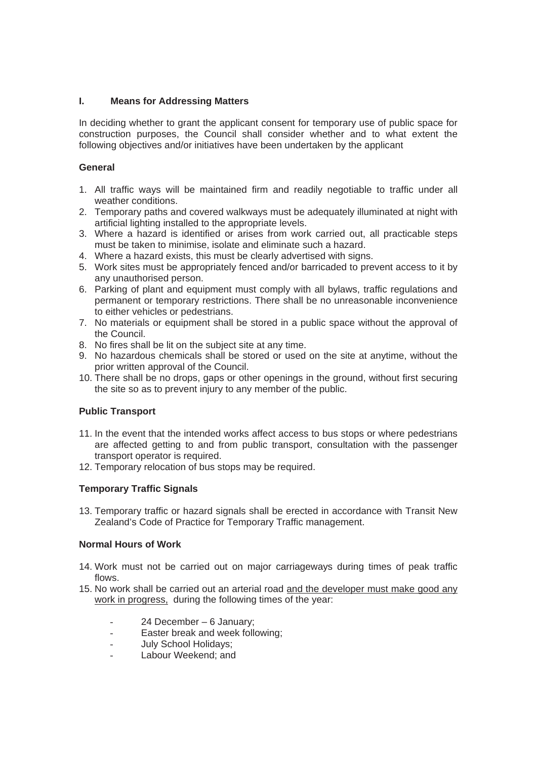## **I. Means for Addressing Matters**

In deciding whether to grant the applicant consent for temporary use of public space for construction purposes, the Council shall consider whether and to what extent the following objectives and/or initiatives have been undertaken by the applicant

## **General**

- 1. All traffic ways will be maintained firm and readily negotiable to traffic under all weather conditions.
- 2. Temporary paths and covered walkways must be adequately illuminated at night with artificial lighting installed to the appropriate levels.
- 3. Where a hazard is identified or arises from work carried out, all practicable steps must be taken to minimise, isolate and eliminate such a hazard.
- 4. Where a hazard exists, this must be clearly advertised with signs.
- 5. Work sites must be appropriately fenced and/or barricaded to prevent access to it by any unauthorised person.
- 6. Parking of plant and equipment must comply with all bylaws, traffic regulations and permanent or temporary restrictions. There shall be no unreasonable inconvenience to either vehicles or pedestrians.
- 7. No materials or equipment shall be stored in a public space without the approval of the Council.
- 8. No fires shall be lit on the subject site at any time.
- 9. No hazardous chemicals shall be stored or used on the site at anytime, without the prior written approval of the Council.
- 10. There shall be no drops, gaps or other openings in the ground, without first securing the site so as to prevent injury to any member of the public.

# **Public Transport**

- 11. In the event that the intended works affect access to bus stops or where pedestrians are affected getting to and from public transport, consultation with the passenger transport operator is required.
- 12. Temporary relocation of bus stops may be required.

# **Temporary Traffic Signals**

13. Temporary traffic or hazard signals shall be erected in accordance with Transit New Zealand's Code of Practice for Temporary Traffic management.

## **Normal Hours of Work**

- 14. Work must not be carried out on major carriageways during times of peak traffic flows.
- 15. No work shall be carried out an arterial road and the developer must make good any work in progress, during the following times of the year:
	- 24 December 6 January;
	- Easter break and week following;
	- July School Holidays;
	- Labour Weekend; and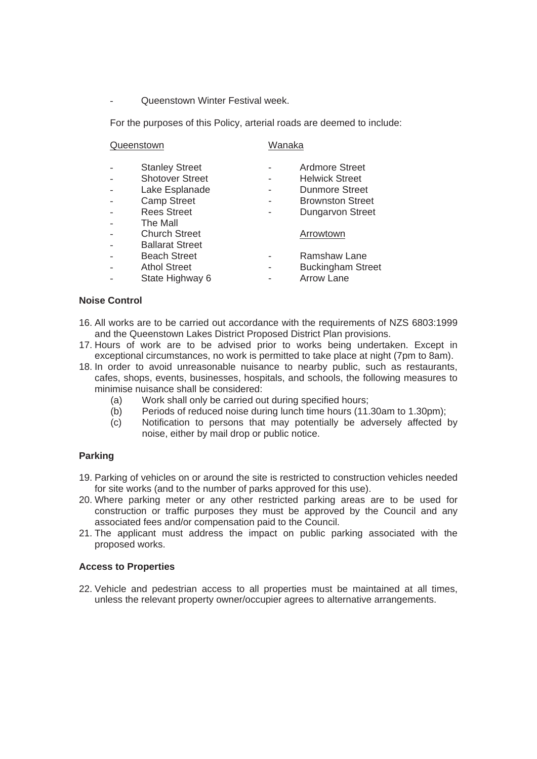- Queenstown Winter Festival week.

For the purposes of this Policy, arterial roads are deemed to include:

| Queenstown |                        | Wanaka |                          |
|------------|------------------------|--------|--------------------------|
|            | <b>Stanley Street</b>  |        | Ardmore Street           |
|            | <b>Shotover Street</b> |        | <b>Helwick Street</b>    |
|            | Lake Esplanade         |        | Dunmore Street           |
|            | <b>Camp Street</b>     |        | <b>Brownston Street</b>  |
|            | <b>Rees Street</b>     |        | <b>Dungarvon Street</b>  |
|            | The Mall               |        |                          |
|            | <b>Church Street</b>   |        | Arrowtown                |
|            | <b>Ballarat Street</b> |        |                          |
|            | <b>Beach Street</b>    |        | Ramshaw Lane             |
|            | <b>Athol Street</b>    |        | <b>Buckingham Street</b> |
|            | State Highway 6        |        | <b>Arrow Lane</b>        |

#### **Noise Control**

- 16. All works are to be carried out accordance with the requirements of NZS 6803:1999 and the Queenstown Lakes District Proposed District Plan provisions.
- 17. Hours of work are to be advised prior to works being undertaken. Except in exceptional circumstances, no work is permitted to take place at night (7pm to 8am).
- 18. In order to avoid unreasonable nuisance to nearby public, such as restaurants, cafes, shops, events, businesses, hospitals, and schools, the following measures to minimise nuisance shall be considered:
	- (a) Work shall only be carried out during specified hours;
	- (b) Periods of reduced noise during lunch time hours (11.30am to 1.30pm);
	- (c) Notification to persons that may potentially be adversely affected by noise, either by mail drop or public notice.

## **Parking**

- 19. Parking of vehicles on or around the site is restricted to construction vehicles needed for site works (and to the number of parks approved for this use).
- 20. Where parking meter or any other restricted parking areas are to be used for construction or traffic purposes they must be approved by the Council and any associated fees and/or compensation paid to the Council.
- 21. The applicant must address the impact on public parking associated with the proposed works.

#### **Access to Properties**

22. Vehicle and pedestrian access to all properties must be maintained at all times, unless the relevant property owner/occupier agrees to alternative arrangements.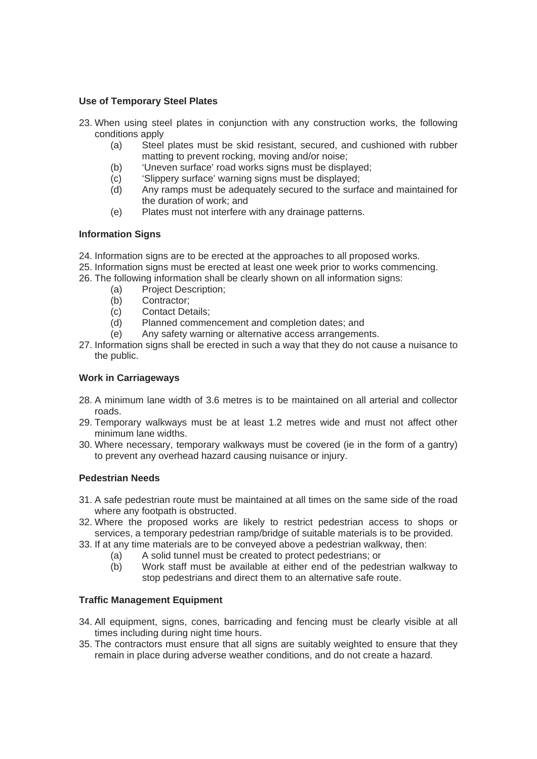## **Use of Temporary Steel Plates**

- 23. When using steel plates in conjunction with any construction works, the following conditions apply
	- (a) Steel plates must be skid resistant, secured, and cushioned with rubber matting to prevent rocking, moving and/or noise;
	- (b) 'Uneven surface' road works signs must be displayed;
	- (c) 'Slippery surface' warning signs must be displayed;
	- (d) Any ramps must be adequately secured to the surface and maintained for the duration of work; and
	- (e) Plates must not interfere with any drainage patterns.

#### **Information Signs**

- 24. Information signs are to be erected at the approaches to all proposed works.
- 25. Information signs must be erected at least one week prior to works commencing.
- 26. The following information shall be clearly shown on all information signs:
	- (a) Project Description;
	- (b) Contractor;
	- (c) Contact Details;
	- (d) Planned commencement and completion dates; and
	- (e) Any safety warning or alternative access arrangements.
- 27. Information signs shall be erected in such a way that they do not cause a nuisance to the public.

## **Work in Carriageways**

- 28. A minimum lane width of 3.6 metres is to be maintained on all arterial and collector roads.
- 29. Temporary walkways must be at least 1.2 metres wide and must not affect other minimum lane widths.
- 30. Where necessary, temporary walkways must be covered (ie in the form of a gantry) to prevent any overhead hazard causing nuisance or injury.

#### **Pedestrian Needs**

- 31. A safe pedestrian route must be maintained at all times on the same side of the road where any footpath is obstructed.
- 32. Where the proposed works are likely to restrict pedestrian access to shops or services, a temporary pedestrian ramp/bridge of suitable materials is to be provided.
- 33. If at any time materials are to be conveyed above a pedestrian walkway, then:
	- (a) A solid tunnel must be created to protect pedestrians; or
	- (b) Work staff must be available at either end of the pedestrian walkway to stop pedestrians and direct them to an alternative safe route.

#### **Traffic Management Equipment**

- 34. All equipment, signs, cones, barricading and fencing must be clearly visible at all times including during night time hours.
- 35. The contractors must ensure that all signs are suitably weighted to ensure that they remain in place during adverse weather conditions, and do not create a hazard.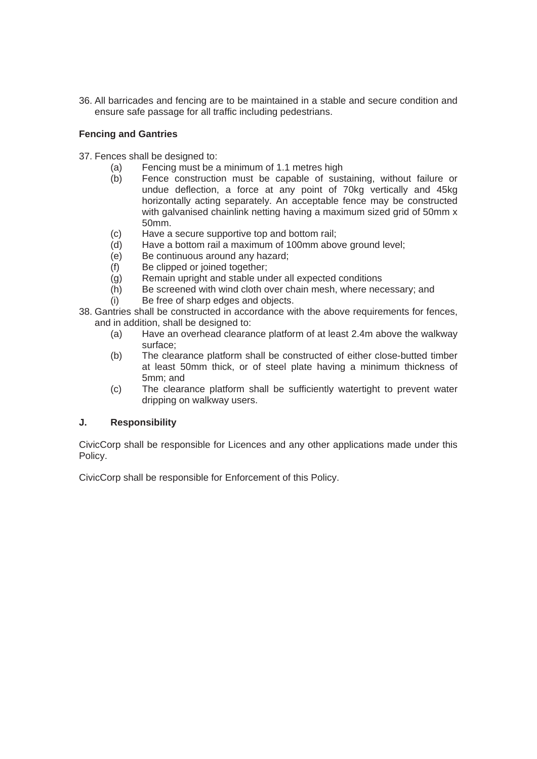36. All barricades and fencing are to be maintained in a stable and secure condition and ensure safe passage for all traffic including pedestrians.

## **Fencing and Gantries**

- 37. Fences shall be designed to:
	- (a) Fencing must be a minimum of 1.1 metres high
	- (b) Fence construction must be capable of sustaining, without failure or undue deflection, a force at any point of 70kg vertically and 45kg horizontally acting separately. An acceptable fence may be constructed with galvanised chainlink netting having a maximum sized grid of 50mm x 50mm.
	- (c) Have a secure supportive top and bottom rail;
	- (d) Have a bottom rail a maximum of 100mm above ground level;
	- (e) Be continuous around any hazard;
	- (f) Be clipped or joined together;
	- (g) Remain upright and stable under all expected conditions
	- (h) Be screened with wind cloth over chain mesh, where necessary; and
	- (i) Be free of sharp edges and objects.
- 38. Gantries shall be constructed in accordance with the above requirements for fences, and in addition, shall be designed to:
	- (a) Have an overhead clearance platform of at least 2.4m above the walkway surface;
	- (b) The clearance platform shall be constructed of either close-butted timber at least 50mm thick, or of steel plate having a minimum thickness of 5mm; and
	- (c) The clearance platform shall be sufficiently watertight to prevent water dripping on walkway users.

## **J. Responsibility**

CivicCorp shall be responsible for Licences and any other applications made under this Policy.

CivicCorp shall be responsible for Enforcement of this Policy.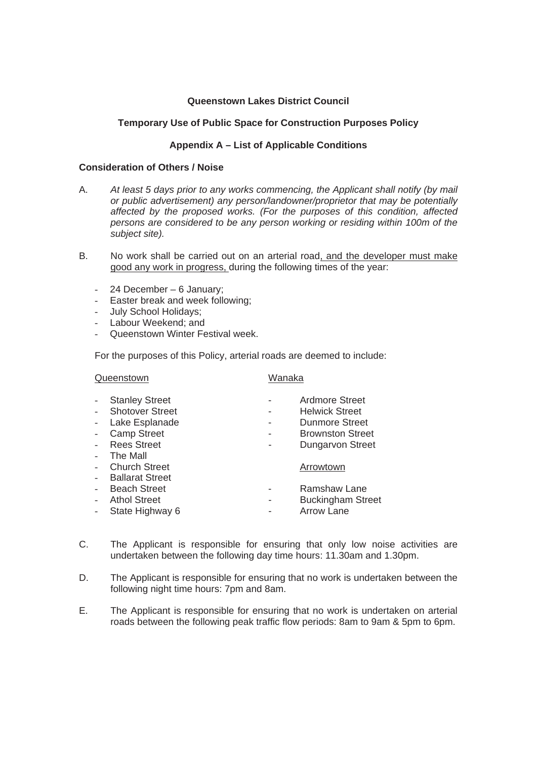#### **Queenstown Lakes District Council**

## **Temporary Use of Public Space for Construction Purposes Policy**

## **Appendix A – List of Applicable Conditions**

#### **Consideration of Others / Noise**

- A. *At least 5 days prior to any works commencing, the Applicant shall notify (by mail or public advertisement) any person/landowner/proprietor that may be potentially affected by the proposed works. (For the purposes of this condition, affected persons are considered to be any person working or residing within 100m of the subject site).*
- B. No work shall be carried out on an arterial road, and the developer must make good any work in progress, during the following times of the year:
	- 24 December 6 January;
	- Easter break and week following;
	- July School Holidays;
	- Labour Weekend; and
	- Queenstown Winter Festival week.

For the purposes of this Policy, arterial roads are deemed to include:

| Queenstown               |                        | Wanaka |                          |
|--------------------------|------------------------|--------|--------------------------|
|                          | <b>Stanley Street</b>  |        | Ardmore Street           |
|                          | <b>Shotover Street</b> |        | <b>Helwick Street</b>    |
| $\overline{\phantom{a}}$ | Lake Esplanade         |        | Dunmore Street           |
|                          | <b>Camp Street</b>     |        | <b>Brownston Street</b>  |
|                          | <b>Rees Street</b>     |        | <b>Dungarvon Street</b>  |
|                          | The Mall               |        |                          |
|                          | <b>Church Street</b>   |        | Arrowtown                |
|                          | <b>Ballarat Street</b> |        |                          |
|                          | <b>Beach Street</b>    |        | Ramshaw Lane             |
|                          | <b>Athol Street</b>    |        | <b>Buckingham Street</b> |
|                          | State Highway 6        |        | <b>Arrow Lane</b>        |
|                          |                        |        |                          |

- C. The Applicant is responsible for ensuring that only low noise activities are undertaken between the following day time hours: 11.30am and 1.30pm.
- D. The Applicant is responsible for ensuring that no work is undertaken between the following night time hours: 7pm and 8am.
- E. The Applicant is responsible for ensuring that no work is undertaken on arterial roads between the following peak traffic flow periods: 8am to 9am & 5pm to 6pm.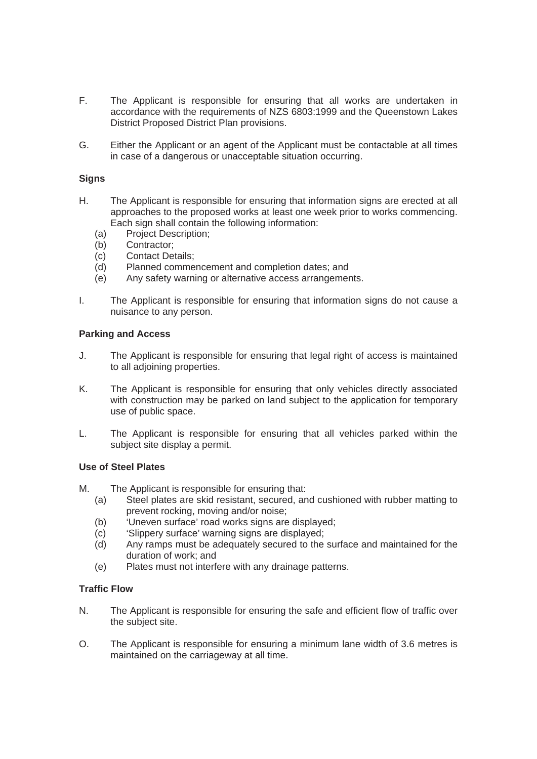- F. The Applicant is responsible for ensuring that all works are undertaken in accordance with the requirements of NZS 6803:1999 and the Queenstown Lakes District Proposed District Plan provisions.
- G. Either the Applicant or an agent of the Applicant must be contactable at all times in case of a dangerous or unacceptable situation occurring.

#### **Signs**

- H. The Applicant is responsible for ensuring that information signs are erected at all approaches to the proposed works at least one week prior to works commencing. Each sign shall contain the following information:
	- (a) Project Description;
	- (b) Contractor;
	- (c) Contact Details;
	- (d) Planned commencement and completion dates; and
	- (e) Any safety warning or alternative access arrangements.
- I. The Applicant is responsible for ensuring that information signs do not cause a nuisance to any person.

#### **Parking and Access**

- J. The Applicant is responsible for ensuring that legal right of access is maintained to all adjoining properties.
- K. The Applicant is responsible for ensuring that only vehicles directly associated with construction may be parked on land subject to the application for temporary use of public space.
- L. The Applicant is responsible for ensuring that all vehicles parked within the subject site display a permit.

#### **Use of Steel Plates**

- M. The Applicant is responsible for ensuring that:
	- (a) Steel plates are skid resistant, secured, and cushioned with rubber matting to prevent rocking, moving and/or noise;
	- (b) 'Uneven surface' road works signs are displayed;
	- (c) 'Slippery surface' warning signs are displayed;
	- (d) Any ramps must be adequately secured to the surface and maintained for the duration of work; and
	- (e) Plates must not interfere with any drainage patterns.

#### **Traffic Flow**

- N. The Applicant is responsible for ensuring the safe and efficient flow of traffic over the subject site.
- O. The Applicant is responsible for ensuring a minimum lane width of 3.6 metres is maintained on the carriageway at all time.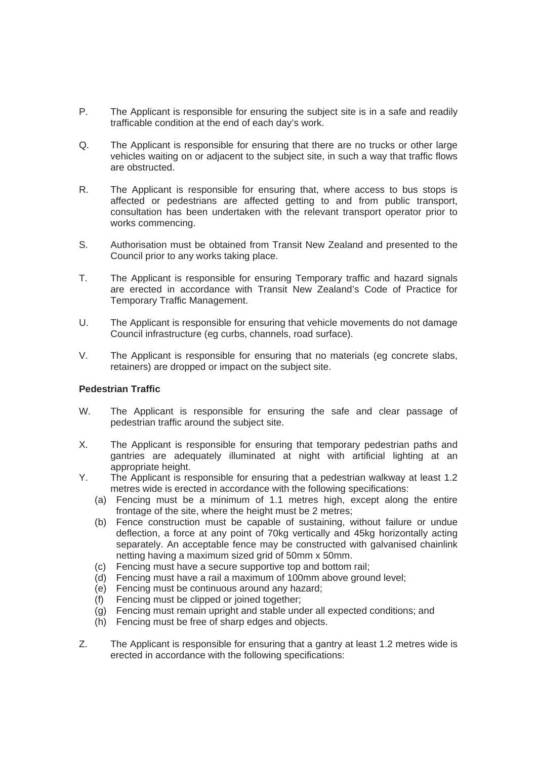- P. The Applicant is responsible for ensuring the subject site is in a safe and readily trafficable condition at the end of each day's work.
- Q. The Applicant is responsible for ensuring that there are no trucks or other large vehicles waiting on or adjacent to the subject site, in such a way that traffic flows are obstructed.
- R. The Applicant is responsible for ensuring that, where access to bus stops is affected or pedestrians are affected getting to and from public transport, consultation has been undertaken with the relevant transport operator prior to works commencing.
- S. Authorisation must be obtained from Transit New Zealand and presented to the Council prior to any works taking place.
- T. The Applicant is responsible for ensuring Temporary traffic and hazard signals are erected in accordance with Transit New Zealand's Code of Practice for Temporary Traffic Management.
- U. The Applicant is responsible for ensuring that vehicle movements do not damage Council infrastructure (eg curbs, channels, road surface).
- V. The Applicant is responsible for ensuring that no materials (eg concrete slabs, retainers) are dropped or impact on the subject site.

#### **Pedestrian Traffic**

- W. The Applicant is responsible for ensuring the safe and clear passage of pedestrian traffic around the subject site.
- X. The Applicant is responsible for ensuring that temporary pedestrian paths and gantries are adequately illuminated at night with artificial lighting at an appropriate height.
- Y. The Applicant is responsible for ensuring that a pedestrian walkway at least 1.2 metres wide is erected in accordance with the following specifications:
	- (a) Fencing must be a minimum of 1.1 metres high, except along the entire frontage of the site, where the height must be 2 metres;
	- (b) Fence construction must be capable of sustaining, without failure or undue deflection, a force at any point of 70kg vertically and 45kg horizontally acting separately. An acceptable fence may be constructed with galvanised chainlink netting having a maximum sized grid of 50mm x 50mm.
	- (c) Fencing must have a secure supportive top and bottom rail;
	- (d) Fencing must have a rail a maximum of 100mm above ground level;
	- (e) Fencing must be continuous around any hazard;
	- (f) Fencing must be clipped or joined together;
	- (g) Fencing must remain upright and stable under all expected conditions; and
	- (h) Fencing must be free of sharp edges and objects.
- Z. The Applicant is responsible for ensuring that a gantry at least 1.2 metres wide is erected in accordance with the following specifications: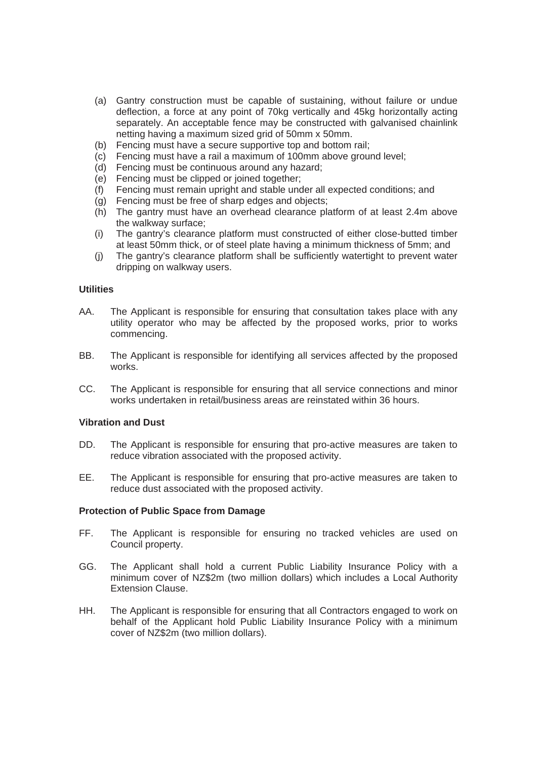- (a) Gantry construction must be capable of sustaining, without failure or undue deflection, a force at any point of 70kg vertically and 45kg horizontally acting separately. An acceptable fence may be constructed with galvanised chainlink netting having a maximum sized grid of 50mm x 50mm.
- (b) Fencing must have a secure supportive top and bottom rail;
- (c) Fencing must have a rail a maximum of 100mm above ground level;
- (d) Fencing must be continuous around any hazard;
- (e) Fencing must be clipped or joined together;
- (f) Fencing must remain upright and stable under all expected conditions; and
- (g) Fencing must be free of sharp edges and objects;
- (h) The gantry must have an overhead clearance platform of at least 2.4m above the walkway surface;
- (i) The gantry's clearance platform must constructed of either close-butted timber at least 50mm thick, or of steel plate having a minimum thickness of 5mm; and
- (j) The gantry's clearance platform shall be sufficiently watertight to prevent water dripping on walkway users.

#### **Utilities**

- AA. The Applicant is responsible for ensuring that consultation takes place with any utility operator who may be affected by the proposed works, prior to works commencing.
- BB. The Applicant is responsible for identifying all services affected by the proposed works.
- CC. The Applicant is responsible for ensuring that all service connections and minor works undertaken in retail/business areas are reinstated within 36 hours.

#### **Vibration and Dust**

- DD. The Applicant is responsible for ensuring that pro-active measures are taken to reduce vibration associated with the proposed activity.
- EE. The Applicant is responsible for ensuring that pro-active measures are taken to reduce dust associated with the proposed activity.

#### **Protection of Public Space from Damage**

- FF. The Applicant is responsible for ensuring no tracked vehicles are used on Council property.
- GG. The Applicant shall hold a current Public Liability Insurance Policy with a minimum cover of NZ\$2m (two million dollars) which includes a Local Authority Extension Clause.
- HH. The Applicant is responsible for ensuring that all Contractors engaged to work on behalf of the Applicant hold Public Liability Insurance Policy with a minimum cover of NZ\$2m (two million dollars).